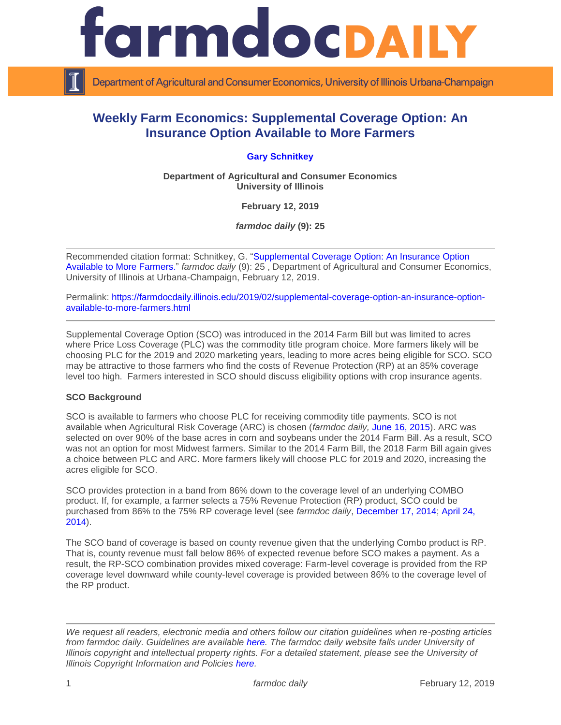

Department of Agricultural and Consumer Economics, University of Illinois Urbana-Champaign

# **Weekly Farm Economics: Supplemental Coverage Option: An Insurance Option Available to More Farmers**

## **[Gary Schnitkey](http://farmdoc.illinois.edu/schnitkey)**

**Department of Agricultural and Consumer Economics University of Illinois**

**February 12, 2019**

*farmdoc daily* **(9): 25**

Recommended citation format: Schnitkey, G. "Supplemental Coverage [Option: An Insurance Option](https://farmdocdaily.illinois.edu/2019/02/supplemental-coverage-option-an-insurance-option-available-to-more-farmers.html)  [Available to More Farmers.](https://farmdocdaily.illinois.edu/2019/02/supplemental-coverage-option-an-insurance-option-available-to-more-farmers.html)" *farmdoc daily* (9): 25 , Department of Agricultural and Consumer Economics, University of Illinois at Urbana-Champaign, February 12, 2019.

Permalink: [https://farmdocdaily.illinois.edu/2019/02/supplemental-coverage-option-an-insurance-option](https://farmdocdaily.illinois.edu/2019/02/supplemental-coverage-option-an-insurance-option-available-to-more-farmers.html)[available-to-more-farmers.html](https://farmdocdaily.illinois.edu/2019/02/supplemental-coverage-option-an-insurance-option-available-to-more-farmers.html)

Supplemental Coverage Option (SCO) was introduced in the 2014 Farm Bill but was limited to acres where Price Loss Coverage (PLC) was the commodity title program choice. More farmers likely will be choosing PLC for the 2019 and 2020 marketing years, leading to more acres being eligible for SCO. SCO may be attractive to those farmers who find the costs of Revenue Protection (RP) at an 85% coverage level too high. Farmers interested in SCO should discuss eligibility options with crop insurance agents.

#### **SCO Background**

SCO is available to farmers who choose PLC for receiving commodity title payments. SCO is not available when Agricultural Risk Coverage (ARC) is chosen (*farmdoc daily,* [June 16, 2015\)](https://farmdocdaily.illinois.edu/2015/06/perspectives-on-commodity-program-choices.html). ARC was selected on over 90% of the base acres in corn and soybeans under the 2014 Farm Bill. As a result, SCO was not an option for most Midwest farmers. Similar to the 2014 Farm Bill, the 2018 Farm Bill again gives a choice between PLC and ARC. More farmers likely will choose PLC for 2019 and 2020, increasing the acres eligible for SCO.

SCO provides protection in a band from 86% down to the coverage level of an underlying COMBO product. If, for example, a farmer selects a 75% Revenue Protection (RP) product, SCO could be purchased from 86% to the 75% RP coverage level (see *farmdoc daily*, [December 17, 2014;](https://farmdocdaily.illinois.edu/2014/12/electing-arc-and-using-sco.html) [April 24,](https://farmdocdaily.illinois.edu/2014/04/further-discussion-of-sco.html)  [2014\)](https://farmdocdaily.illinois.edu/2014/04/further-discussion-of-sco.html).

The SCO band of coverage is based on county revenue given that the underlying Combo product is RP. That is, county revenue must fall below 86% of expected revenue before SCO makes a payment. As a result, the RP-SCO combination provides mixed coverage: Farm-level coverage is provided from the RP coverage level downward while county-level coverage is provided between 86% to the coverage level of the RP product.

*We request all readers, electronic media and others follow our citation guidelines when re-posting articles from farmdoc daily. Guidelines are available [here.](http://farmdocdaily.illinois.edu/citationguide.html) The farmdoc daily website falls under University of Illinois copyright and intellectual property rights. For a detailed statement, please see the University of Illinois Copyright Information and Policies [here.](http://www.cio.illinois.edu/policies/copyright/)*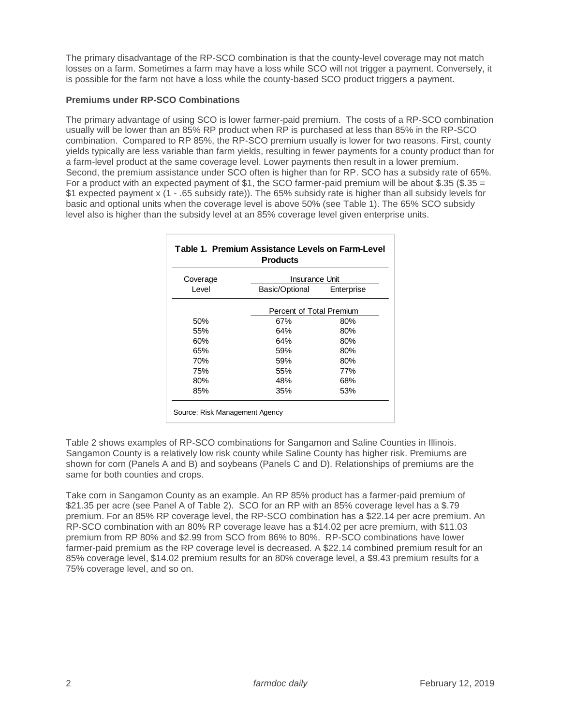The primary disadvantage of the RP-SCO combination is that the county-level coverage may not match losses on a farm. Sometimes a farm may have a loss while SCO will not trigger a payment. Conversely, it is possible for the farm not have a loss while the county-based SCO product triggers a payment.

## **Premiums under RP-SCO Combinations**

The primary advantage of using SCO is lower farmer-paid premium. The costs of a RP-SCO combination usually will be lower than an 85% RP product when RP is purchased at less than 85% in the RP-SCO combination. Compared to RP 85%, the RP-SCO premium usually is lower for two reasons. First, county yields typically are less variable than farm yields, resulting in fewer payments for a county product than for a farm-level product at the same coverage level. Lower payments then result in a lower premium. Second, the premium assistance under SCO often is higher than for RP. SCO has a subsidy rate of 65%. For a product with an expected payment of \$1, the SCO farmer-paid premium will be about \$.35 (\$.35 = \$1 expected payment x (1 - .65 subsidy rate)). The 65% subsidy rate is higher than all subsidy levels for basic and optional units when the coverage level is above 50% (see Table 1). The 65% SCO subsidy level also is higher than the subsidy level at an 85% coverage level given enterprise units.

| Coverage | Insurance Unit |                          |  |  |  |
|----------|----------------|--------------------------|--|--|--|
| Level    | Basic/Optional | Enterprise               |  |  |  |
|          |                | Percent of Total Premium |  |  |  |
| 50%      | 67%            | 80%                      |  |  |  |
| 55%      | 64%            | 80%                      |  |  |  |
| 60%      | 64%            | 80%                      |  |  |  |
| 65%      | 59%            | 80%                      |  |  |  |
| 70%      | 59%            | 80%                      |  |  |  |
| 75%      | 55%            | 77%                      |  |  |  |
| 80%      | 48%            | 68%                      |  |  |  |
| 85%      | 35%            | 53%                      |  |  |  |

Table 2 shows examples of RP-SCO combinations for Sangamon and Saline Counties in Illinois. Sangamon County is a relatively low risk county while Saline County has higher risk. Premiums are shown for corn (Panels A and B) and soybeans (Panels C and D). Relationships of premiums are the same for both counties and crops.

Take corn in Sangamon County as an example. An RP 85% product has a farmer-paid premium of \$21.35 per acre (see Panel A of Table 2). SCO for an RP with an 85% coverage level has a \$.79 premium. For an 85% RP coverage level, the RP-SCO combination has a \$22.14 per acre premium. An RP-SCO combination with an 80% RP coverage leave has a \$14.02 per acre premium, with \$11.03 premium from RP 80% and \$2.99 from SCO from 86% to 80%. RP-SCO combinations have lower farmer-paid premium as the RP coverage level is decreased. A \$22.14 combined premium result for an 85% coverage level, \$14.02 premium results for an 80% coverage level, a \$9.43 premium results for a 75% coverage level, and so on.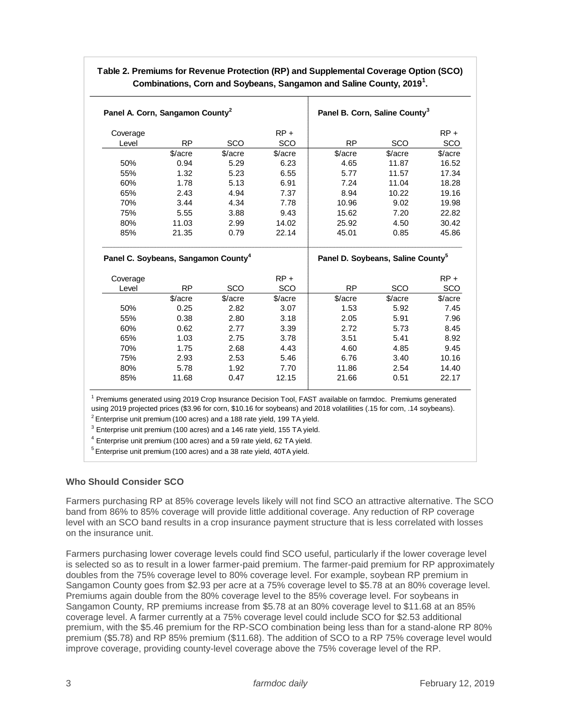| Coverage<br>Level |                                                 |         | $RP +$        |                                               |         | $RP +$                                                                    |
|-------------------|-------------------------------------------------|---------|---------------|-----------------------------------------------|---------|---------------------------------------------------------------------------|
|                   | <b>RP</b>                                       | SCO     | SCO           | <b>RP</b>                                     | SCO     | SCO                                                                       |
|                   | \$/acre                                         | \$/acre | \$/acre       | \$/acre                                       | \$/acre | \$/acre                                                                   |
| 50%               | 0.94                                            | 5.29    | 6.23          | 4.65                                          | 11.87   | 16.52                                                                     |
| 55%               | 1.32                                            | 5.23    | 6.55          | 5.77                                          | 11.57   | 17.34                                                                     |
| 60%               | 1.78                                            | 5.13    | 6.91          | 7.24                                          | 11.04   | 18.28                                                                     |
| 65%               | 2.43                                            | 4.94    | 7.37          | 8.94                                          | 10.22   | 19.16                                                                     |
| 70%               | 3.44                                            | 4.34    | 7.78          | 10.96                                         | 9.02    | 19.98                                                                     |
| 75%               | 5.55                                            | 3.88    | 9.43          | 15.62                                         | 7.20    | 22.82                                                                     |
| 80%               | 11.03                                           | 2.99    | 14.02         | 25.92                                         | 4.50    | 30.42                                                                     |
|                   |                                                 |         | 22.14         | 45.01                                         | 0.85    | 45.86                                                                     |
| 85%               | 21.35                                           | 0.79    |               |                                               |         |                                                                           |
|                   | Panel C. Soybeans, Sangamon County <sup>4</sup> |         |               | Panel D. Soybeans, Saline County <sup>5</sup> |         |                                                                           |
|                   |                                                 |         |               |                                               |         |                                                                           |
| Coverage<br>Level | <b>RP</b>                                       | SCO     | $RP +$<br>SCO | <b>RP</b>                                     | SCO     |                                                                           |
|                   | \$/acre                                         | \$/acre | \$/acre       | \$/acre                                       | \$/acre |                                                                           |
| 50%               | 0.25                                            | 2.82    | 3.07          | 1.53                                          | 5.92    |                                                                           |
| 55%               | 0.38                                            | 2.80    | 3.18          | 2.05                                          | 5.91    |                                                                           |
| 60%               | 0.62                                            | 2.77    | 3.39          | 2.72                                          | 5.73    |                                                                           |
| 65%               | 1.03                                            | 2.75    | 3.78          | 3.51                                          | 5.41    |                                                                           |
| 70%               | 1.75                                            | 2.68    | 4.43          | 4.60                                          | 4.85    |                                                                           |
| 75%               | 2.93                                            | 2.53    | 5.46          | 6.76                                          | 3.40    | $RP +$<br>SCO<br>\$/acre<br>7.45<br>7.96<br>8.45<br>8.92<br>9.45<br>10.16 |
| 80%               | 5.78                                            | 1.92    | 7.70          | 11.86                                         | 2.54    | 14.40                                                                     |

# **Table 2. Premiums for Revenue Protection (RP) and Supplemental Coverage Option (SCO) Combinations, Corn and Soybeans, Sangamon and Saline County, 2019<sup>1</sup> .**

 $5$  Enterprise unit premium (100 acres) and a 38 rate yield, 40TA yield.

## **Who Should Consider SCO**

Farmers purchasing RP at 85% coverage levels likely will not find SCO an attractive alternative. The SCO band from 86% to 85% coverage will provide little additional coverage. Any reduction of RP coverage level with an SCO band results in a crop insurance payment structure that is less correlated with losses on the insurance unit.

Farmers purchasing lower coverage levels could find SCO useful, particularly if the lower coverage level is selected so as to result in a lower farmer-paid premium. The farmer-paid premium for RP approximately doubles from the 75% coverage level to 80% coverage level. For example, soybean RP premium in Sangamon County goes from \$2.93 per acre at a 75% coverage level to \$5.78 at an 80% coverage level. Premiums again double from the 80% coverage level to the 85% coverage level. For soybeans in Sangamon County, RP premiums increase from \$5.78 at an 80% coverage level to \$11.68 at an 85% coverage level. A farmer currently at a 75% coverage level could include SCO for \$2.53 additional premium, with the \$5.46 premium for the RP-SCO combination being less than for a stand-alone RP 80% premium (\$5.78) and RP 85% premium (\$11.68). The addition of SCO to a RP 75% coverage level would improve coverage, providing county-level coverage above the 75% coverage level of the RP.